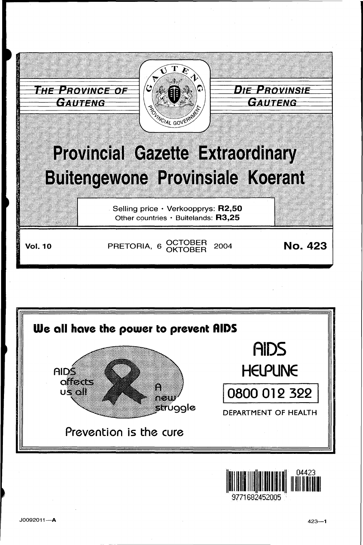



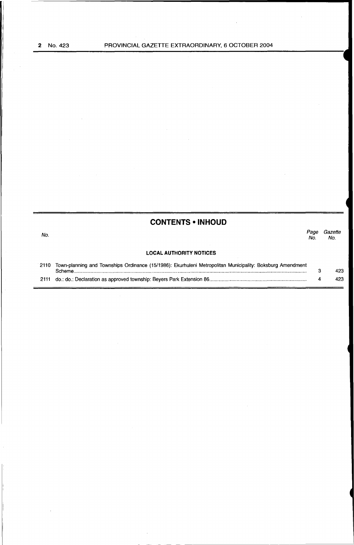| No.<br><b>LOCAL AUTHORITY NOTICES</b><br>Town-planning and Townships Ordinance (15/1986): Ekurhuleni Metropolitan Municipality: Boksburg Amendment<br>2110 |             |                |
|------------------------------------------------------------------------------------------------------------------------------------------------------------|-------------|----------------|
|                                                                                                                                                            | Page<br>No. | Gazette<br>No. |
|                                                                                                                                                            |             |                |
| Scheme                                                                                                                                                     | з           | 423            |
| 2111                                                                                                                                                       |             | 423            |

-- - - -·-----------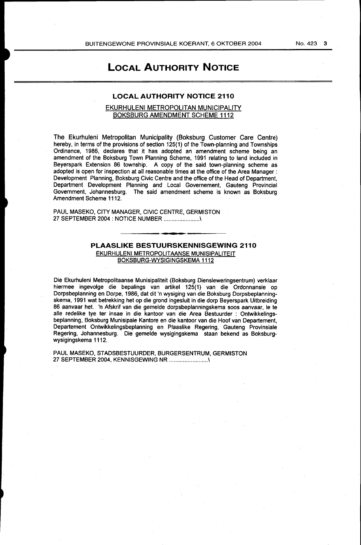# **LOCAL AUTHORITY NOTICE**

# **LOCAL AUTHORITY NOTICE 2110**

# EKURHULENI METROPOLITAN MUNICIPALITY BOKSBURG AMENDMENT SCHEME 1112

The Ekurhuleni Metropolitan Municipality (Boksburg Customer Care Centre) hereby, in terms of the provisions of section 125(1) of the Town-planning and Townships Ordinance, 1986, declares that it has adopted an amendment scheme being an amendment of the Boksburg Town Planning Scheme, 1991 relating to land included in Beyerspark Extension 86 township. A copy of the said town-planning scheme as adopted is open for inspection at all reasonable times at the office of the Area Manager : Development Planning, Boksburg Civic Centre and the office of the Head of Department, Department Development Planning and Local Governement, Gauteng Provincial Government, Johannesburg. The said amendment scheme is known as Boksburg Amendment Scheme 1112.

PAUL MASEKO, CITY MANAGER, CIVIC CENTRE, GERMISTON 27 SEPTEMBER 2004 : NOTICE NUMBER ....................... \

# **PLAASLIKE BESTUURSKENNISGEWING 2110**

EKURHULENI METROPOLITAANSE MUNISIPALITEIT BOKSBURG-WYSIGINGSKEMA 1112

Die Ekurhuleni Metropolitaanse Munisipaliteit (Boksburg Diensleweringsentrum) verklaar hiermee ingevolge die bepalings van artikel 125(1) van die Ordonnansie op Dorpsbeplanning en Dorpe, 1986, dat dit 'n wysiging van die Boksburg Dorpsbeplanningskema, 1991 wat betrekking het op die grond ingesluit in die dorp Beyerspark Uitbreiding 86 aanvaar het. 'n Afskrif van die gemelde dorpsbeplanningskema soos aanvaar, le te aile redelike tye ter insae in die kantoor van die Area Bestuurder : Ontwikkelingsbeplanning, Boksburg Munisipale Kantore en die kantoor van die Hoof van Departement, Departement Ontwikkelingsbeplanning en Plaaslike Regering, Gauteng Provinsiale Regering, Johannesburg. Die gemelde wysigingskema staan bekend as Boksburgwysigingskema 1112.

PAUL MASEKO, STADSBESTUURDER, BURGERSENTRUM, GERMISTON 27 SEPTEMBER 2004, KENNISGEWING NR ......................... \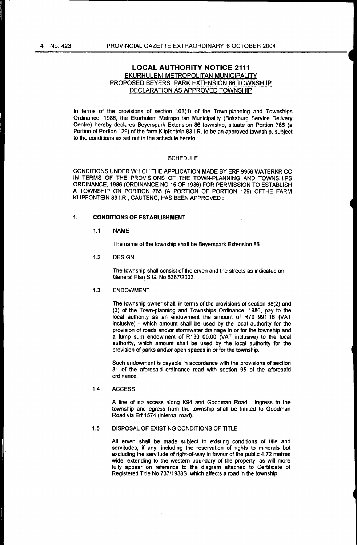# **LOCAL AUTHORITY NOTICE 2111**  EKURHULENI METROPOLITAN MUNICIPALITY PROPOSED BEYERS PARK EXTENSION 86 TOWNSHIIP DECLARATION AS APPROVED TOWNSHIP

In terms of the provisions of section 103(1) of the Town-planning and Townships Ordinance, 1986, the Ekurhuleni Metropolitan Municipality (Boksburg Service Delivery Centre) hereby declares Beyerspark Extension 86 township, situate on Portion 765 (a Portion of Portion 129) of the farm Klipfontein 83 I.R. to be an approved township, subject to the conditions as set out in the schedule hereto.

### **SCHEDULE**

CONDITIONS UNDER WHICH THE APPLICATION MADE BY ERF 9956 WATERKR CC IN TERMS OF THE PROVISIONS OF THE TOWN-PLANNING AND TOWNSHIPS ORDINANCE, 1986 (ORDINANCE NO 15 OF 1986) FOR PERMISSION TO ESTABLISH A TOWNSHIP ON PORTION 765 (A PORTION OF PORTION 129) OFTHE FARM KLIPFONTEIN 83 I.R., GAUTENG, HAS BEEN APPROVED:

# **1. CONDITIONS OF ESTABLISHMENT**

1.1 NAME

The name of the township shall be Beyerspark Extension 86.

1.2 DESIGN

The township shall consist of the erven and the streets as indicated on General Plan S.G. No 6387\2003.

## 1.3 ENDOWMENT

The township owner shall, in terms of the provisions of section 98(2) and (3) of the Town-planning and Townships Ordinance, 1986, pay to the local authority as an endowment the amount of R70 991,16 (VAT inclusive) - which amount shall be used by the local authority for the provision of roads and\or stormwater drainage in or for the township and a lump sum endowment of R130 00,00 (VAT inclusive) to the local authority, which amount shall be used by the local authority for the provision of parks and\or open spaces in or for the township.

Such endowment is payable in accordance with the provisions of section 81 of the aforesaid ordinance read with section 95 of the aforesaid ordinance.

# 1.4 ACCESS

A line of no access along K94 and Goodman Road. Ingress to the township and egress from the township shall be limited to Goodman Road via Erf 1574 (internal road).

# 1.5 DISPOSAL OF EXISTING CONDITIONS OF TITLE

All erven shall be made subject to existing conditions of title and servitudes, if any, including the reservation of rights to minerals but excluding the servitude of right-of-way in favour of the public 4.72 metres wide, extending to the western boundary of the property, as will more fully appear on reference to the diagram attached to Certificate of Registered Title No 737\1938S, which affects a road in the township.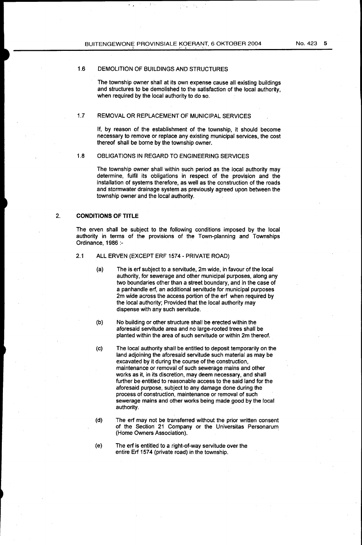# 1.6 DEMOLITION OF BUILDINGS AND STRUCTURES

The township owner shall at its own expense cause all existing buildings and structures to be demolished to the satisfaction of the local authority, when required by the local authority to do so.

÷,

# 1.7 REMOVAL OR REPLACEMENT OF MUNICIPAL SERVICES

If, by reason of the establishment of the township, it should become necessary to remove or replace any existing municipal services, the cost thereof shall be borne by the township owner.

### 1.8 OBLIGATIONS IN REGARD TO ENGINEERING SERVICES

The township owner shall within such period as the local authority may determine, fulfil its obligations in respect of the provision and the installation of systems therefore, as well as the construction of the roads and stormwater drainage system as previously agreed upon between the township owner and the local authority.

# 2. CONDITIONS OF TITLE

The erven shall be subject to the following conditions imposed by the local authority in terms of the provisions of the Town-planning and Townships Ordinance, 1986 :-

# 2.1 ALL ERVEN (EXCEPT ERF 1574- PRIVATE ROAD)

- (a) The is erf subject to a servitude, 2m wide, in favour of the local authority, for sewerage and other municipal purposes, along any two boundaries other than a street boundary, and in the case of a panhandle erf, an additional servitude for municipal purposes 2m wide across the access portion of the erf when required by the local authority; Provided that the local authority may dispense with any such servitude.
- (b) No building or other structure shall be erected within the aforesaid servitude area and no large-rooted trees shall be planted within the area of such servitude or within 2m thereof.
- (c) The local authority shall be entitled to deposit temporarily on the land adjoining the aforesaid servitude such material as may be excavated by it during the course of the construction, maintenance or removal of such sewerage mains and other works as it, in its discretion, may deem necessary, and shall further be entitled to reasonable access to the said land for the aforesaid purpose, subject to any damage done during the process of construction, maintenance or removal of such sewerage mains and other works being made good by the local authority.
- (d) The erf may not be transferred without the prior written consent of the Section 21 Company or the Universitas Personarum (Home Owners Association).
- (e) The erf is entitled to a right-of-way servitude over the entire Erf 1574 (private road) in the township.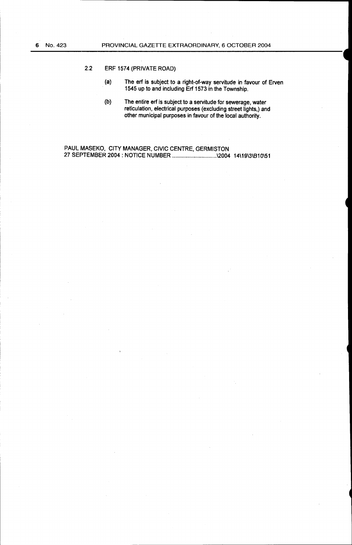# 2.2 ERF 1574 (PRIVATE ROAD)

- (a) The erf is subject to a right-of-way servitude in favour of Erven 1545 up to and including Erf 1573 in the Township.
- (b) The entire erf is subject to a servitude for sewerage, water reticulation, electrical purposes (excluding street lights,) and other municipal purposes in favour of the local authority.

PAUL MASEKO, CITY MANAGER, CIVIC CENTRE, GERMISTON 27 SEPTEMBER 2004: NOTICE NUMBER ............................. \2004 14\19\3\810\51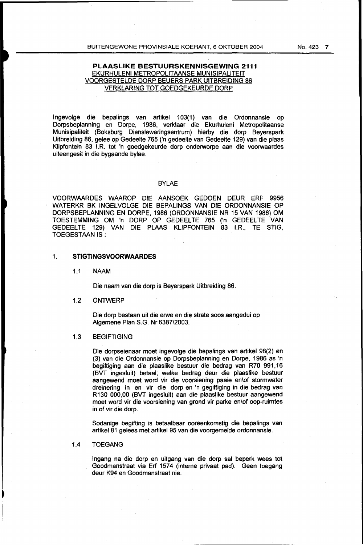# **PLAASLIKE BESTUURSKENNISGEWING 2111**  EKURHULENI METROPOLITAANSE MUNISIPALITEIT VOORGESTELDE DORP BEUERS PARK UITBREIDING 86 VERKLARING TOT GOEDGEKEURDE DORP

lngevolge die bepalings van artikel 103(1) van die Ordonnansie op Dorpsbeplanning en Dorpe, 1986, verklaar die Ekurhuleni Metropolitaanse Munisipaliteit (Boksburg Diensleweringsentrum) hierby die dorp Beyerspark Uitbreiding 86, gelee op Gedeelte 765 ('n gedeelte van Gedeelte 129) van die plaas Klipfontein 83 I.R. tot 'n goedgekeurde dorp onderworpe aan die voorwaardes uiteengesit in die bygaande bylae.

# BYLAE

VOORWAARDES WAAROP DIE AANSOEK GEDOEN DEUR ERF 9956 WATERKR BK INGELVOLGE DIE BEPALINGS VAN DIE ORDONNANSIE OP DORPSBEPLANNING EN DORPE, 1986 (ORDONNANSIE NR 15 VAN 1986) OM TOESTEMMING OM 'n DORP OP GEDEELTE 765 ('n GEDEELTE VAN GEDEELTE 129) VAN DIE PLAAS KLIPFONTEIN 83 I.R., TE STJG, TOEGESTAANIS:

# 1. **STIGTINGSVOORWAARDES**

1.1 NAAM

Die naam van die dorp is Beyerspark Uitbreiding 86.

# 1.2 ONTWERP

Die dorp bestaan uit die erwe en die strate soos aangedui op Algemene Plan S.G. Nr 6387\2003.

# 1.3 BEGIFTIGING

Die dorpseienaar moet ingevolge die bepalings van artikel 98(2) en (3) van die Ordonnansie op Dorpsbeplanning en Dorpe, 1986 as 'n begiftiging aan die plaaslike bestuur die bedrag van R70 991,16 (BVT ingesluit) betaal, welke bedrag deur die plaaslike bestuur aangewend moet word vir die voorsiening paaie en\of stormwater dreinering in en vir die dorp en 'n gegiftiging in die bedrag van R130 000,00 (BVT ingesluit) aan die plaaslike bestuur aangewend moet word vir die voorsiening van grond vir parke en\of oop-ruimtes in of vir die dorp.

Sodanige begifting is betaalbaar ooreenkomstig die bepalings van artikel81 gelees met artikel 95 van die voorgemelde ordonnansie.

# 1.4 TOEGANG

lngang na die dorp en uitgang van die dorp sal beperk wees tot Goodmanstraat via Erf 1574 (interne privaat pad). Geen toegang deur K94 en Goodmanstraat nie.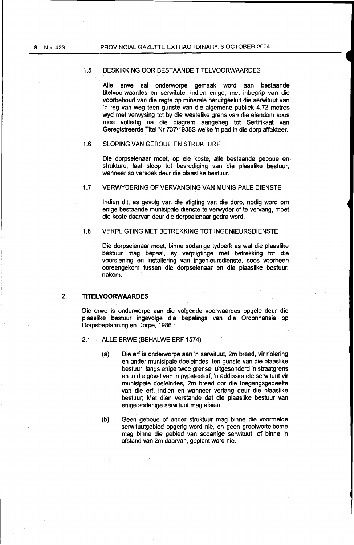# 1.5 BESKIKKING OOR BESTAANDE TITELVOORWAARDES

Aile erwe sal onderworpe gemaak word aan bestaande titelvoorwaardes en serwitute, indien enige, met inbegrip van die voorbehoud van die regte op minerale heruitgesluit die serwituut van 'n reg van weg teen gunste van die algemene publiek 4.72 metres wyd met verwysing tot by die westelike grens van die eiendom soos mee volledig na die diagram aangeheg tot Sertifikaat van Geregistreerde Titel Nr 737\19385 welke 'n pad in die dorp affekteer.

# 1.6 SLOPING VAN GEBOUE EN STRUKTURE

Die dorpseienaar moet, op eie koste, aile bestaande geboue en strukture, laat sloop tot bevrediging van die plaaslike bestuur, wanneer so versoek deur die plaaslike bestuur.

# 1.7 VERWYDERING OF VERVANGING VAN MUNISIPALE DIENSTE

lndien dit, as gevolg van die stigting van die dorp, nodig word om enige bestaande munisipale dienste te verwyder of te vervang, moet die koste daarvan deur die dorpseienaar gedra word.

# 1.8 VERPLIGTING MET BETREKKING TOT INGENIEURSDIENSTE

Die dorpseienaar moet, binne sodanige tydperk as wat die plaaslike bestuur mag bepaal, sy verpligtinge met betrekking tot die voorsiening en installering van ingenieursdienste, soos voorheen ooreengekom tussen die dorpseienaar en die plaaslike bestuur, nakom.

# 2. **TITELVOORWAARDES**

Die erwe is onderworpe aan die volgende voorwaardes opgele deur die plaaslike bestuur ingevolge die bepalings van die Ordonnansie op Dorpsbeplanning en Dorpe, 1986 :

- 2.1 ALLE ERWE (BEHALWE ERF 1574)
	- (a) Die erf is onderworpe aan 'n serwituut, 2m breed, vir riolering en ander munisipale doeleindes, ten gunste van die plaaslike bestuur, langs enige twee grense, uitgesonderd 'n straatgrens en in die geval van 'n pypsteelerf, 'n addissionele serwituut vir munisipale doeleindes, 2m breed oor die toegangsgedeelte van die erf, indien en wanneer verlang deur die plaaslike bestuur; Met dien verstande dat die plaaslike bestuur van enige sodanige serwituut mag afsien.
	- (b) Geen geboue of ander struktuur mag binne die voormelde serwituutgebied opgerig word nie, en geen grootwortelbome mag binne die gebied van sodanige serwituut, of binne 'n afstand van2m daarvan, geplant word nie.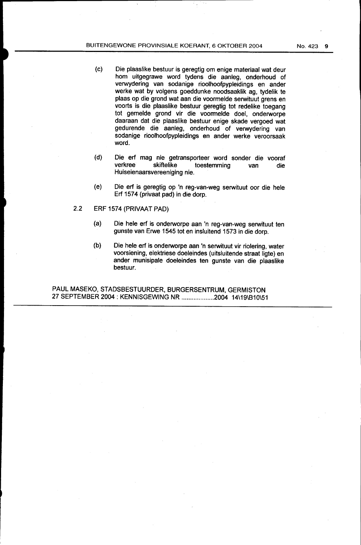- (c) Die plaaslike bestuur is geregtig om enige materiaal wat deur hom uitgegrawe word tydens die aanleg, onderhoud of verwydering van sodanige rioolhoofpypleidings en ander werke wat by volgens goeddunke noodsaaklik ag, tydelik te plaas op die grond wat aan die voormelde serwituut grens en voorts is die plaaslike bestuur geregtig tot redelike toegang tot gemelde grond vir die voonnelde doel, onderworpe daaraan dat die plaaslike bestuur enige skade vergoed wat gedurende die aanleg, onderhoud of verwydering van sodanige rioolhoofpypleidings en ander werke veroorsaak word.
- (d) Die erf mag nie getransporteer word sonder die vooraf<br>verkree skiftelike toestemming van die toestemming van die Huiseienaarsvereeniging nie.
- (e) Die erf is geregtig op 'n reg-van-weg serwituut oor die hele Erf 1574 (privaat pad) in die dorp.
- 2.2 ERF 1574 (PRIVAAT PAD)
	- (a) Die hele erf is onderworpe aan 'n reg-van-weg serwituut ten gunste van Erwe 1545 tot en insluitend 1573 in die dorp.
	- (b) Die hele erf is onderworpe aan 'n serwituut vir riolering, water voorsiening, elektriese doeleindes (uitsluitende straat ligte) en ander munisipale doeleindes ten gunste van die plaaslike bestuur.

PAUL MASEKO, STADSBESTUURDER, BURGERSENTRUM, GERMISTON 27 SEPTEMBER 2004: KENNISGEWING NR ................... 2004 14\19\810\51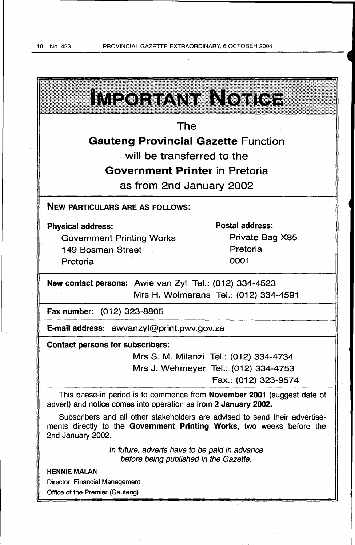J

 $\overline{\phantom{a}}$ 

 $\overline{\phantom{a}}$ 

 $\bar{z}$ 

J,

| IMPORTANT NOTICE                                                                                                                                                          |                                        |  |  |  |
|---------------------------------------------------------------------------------------------------------------------------------------------------------------------------|----------------------------------------|--|--|--|
|                                                                                                                                                                           |                                        |  |  |  |
| The                                                                                                                                                                       |                                        |  |  |  |
| <b>Gauteng Provincial Gazette Function</b>                                                                                                                                |                                        |  |  |  |
| will be transferred to the                                                                                                                                                |                                        |  |  |  |
| <b>Government Printer in Pretoria</b>                                                                                                                                     |                                        |  |  |  |
| as from 2nd January 2002                                                                                                                                                  |                                        |  |  |  |
| <b>NEW PARTICULARS ARE AS FOLLOWS:</b>                                                                                                                                    |                                        |  |  |  |
| <b>Physical address:</b>                                                                                                                                                  | <b>Postal address:</b>                 |  |  |  |
| <b>Government Printing Works</b>                                                                                                                                          | Private Bag X85                        |  |  |  |
| 149 Bosman Street                                                                                                                                                         | Pretoria                               |  |  |  |
| Pretoria                                                                                                                                                                  | 0001                                   |  |  |  |
| New contact persons: Awie van Zyl Tel.: (012) 334-4523                                                                                                                    |                                        |  |  |  |
| Mrs H. Wolmarans Tel.: (012) 334-4591                                                                                                                                     |                                        |  |  |  |
| Fax number: (012) 323-8805                                                                                                                                                |                                        |  |  |  |
| E-mail address: awvanzyl@print.pwv.gov.za                                                                                                                                 |                                        |  |  |  |
| <b>Contact persons for subscribers:</b>                                                                                                                                   |                                        |  |  |  |
|                                                                                                                                                                           | Mrs S. M. Milanzi Tel.: (012) 334-4734 |  |  |  |
|                                                                                                                                                                           | Mrs J. Wehmeyer Tel.: (012) 334-4753   |  |  |  |
|                                                                                                                                                                           | Fax.: (012) 323-9574                   |  |  |  |
| This phase-in period is to commence from November 2001 (suggest date of<br>advert) and notice comes into operation as from 2 January 2002.                                |                                        |  |  |  |
| Subscribers and all other stakeholders are advised to send their advertise-<br>ments directly to the Government Printing Works, two weeks before the<br>2nd January 2002. |                                        |  |  |  |
| In future, adverts have to be paid in advance<br>before being published in the Gazette.                                                                                   |                                        |  |  |  |
| <b>HENNIE MALAN</b>                                                                                                                                                       |                                        |  |  |  |
| <b>Director: Financial Management</b>                                                                                                                                     |                                        |  |  |  |
| Office of the Premier (Gauteng)                                                                                                                                           |                                        |  |  |  |

 $\sim$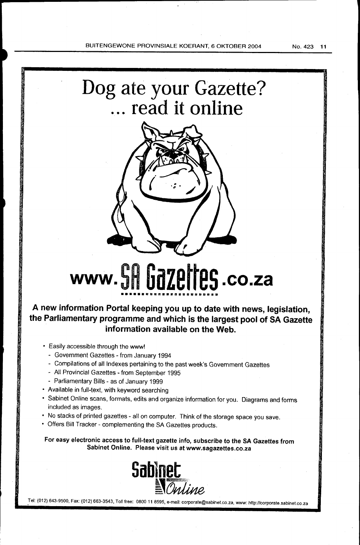



# **www. SR Gazettes .co.za**

# **A new information Portal keeping you up to date with news, legislation, the Parliamentary programme and which is the largest pool of SA Gazette information available on the Web.**

- Easily accessible through the www!
	- Government Gazettes from January 1994
	- Compilations of all Indexes pertaining to the past week's Government Gazettes
	- All Provincial Gazettes from September 1995
	- Parliamentary Bills as of January 1999
- Available in full-text, with keyword searching
- Sabinet Online scans, formats, edits and organize information for you. Diagrams and forms included as images.
- No stacks of printed gazettes- all on computer. Think of the storage space you save.
- Offers Bill Tracker- complementing the SA Gazettes products.

For easy electronic access to full-text gazette info, subscribe to the SA Gazettes from



.Tel: (012) 643·9500, Fax: (012) 663-3543, Toll free: 0800 11 8595, e-mail: corporate@sabinet.co.za, www: http://corporate.sabinet.co.za